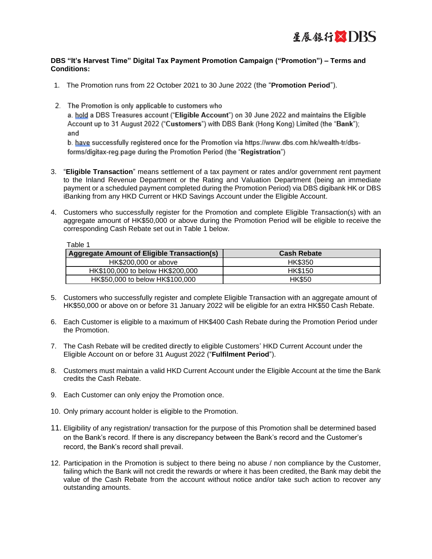

## **DBS "It's Harvest Time" Digital Tax Payment Promotion Campaign ("Promotion") – Terms and Conditions:**

- 1. The Promotion runs from 22 October 2021 to 30 June 2022 (the "**Promotion Period**").
- 2. The Promotion is only applicable to customers who

a. hold a DBS Treasures account ("Eligible Account") on 30 June 2022 and maintains the Eligible Account up to 31 August 2022 ("Customers") with DBS Bank (Hong Kong) Limited (the "Bank"); and

b. have successfully registered once for the Promotion via https://www.dbs.com.hk/wealth-tr/dbsforms/digitax-reg.page during the Promotion Period (the "Registration")

- 3. "**Eligible Transaction**" means settlement of a tax payment or rates and/or government rent payment to the Inland Revenue Department or the Rating and Valuation Department (being an immediate payment or a scheduled payment completed during the Promotion Period) via DBS digibank HK or DBS iBanking from any HKD Current or HKD Savings Account under the Eligible Account.
- 4. Customers who successfully register for the Promotion and complete Eligible Transaction(s) with an aggregate amount of HK\$50,000 or above during the Promotion Period will be eligible to receive the corresponding Cash Rebate set out in Table 1 below.

Table 1

| <b>Aggregate Amount of Eligible Transaction(s)</b> | <b>Cash Rebate</b> |
|----------------------------------------------------|--------------------|
| HK\$200,000 or above                               | <b>HK\$350</b>     |
| HK\$100,000 to below HK\$200,000                   | <b>HK\$150</b>     |
| HK\$50,000 to below HK\$100,000                    | <b>HK\$50</b>      |

- 5. Customers who successfully register and complete Eligible Transaction with an aggregate amount of HK\$50,000 or above on or before 31 January 2022 will be eligible for an extra HK\$50 Cash Rebate.
- 6. Each Customer is eligible to a maximum of HK\$400 Cash Rebate during the Promotion Period under the Promotion.
- 7. The Cash Rebate will be credited directly to eligible Customers' HKD Current Account under the Eligible Account on or before 31 August 2022 ("**Fulfilment Period**").
- 8. Customers must maintain a valid HKD Current Account under the Eligible Account at the time the Bank credits the Cash Rebate.
- 9. Each Customer can only enjoy the Promotion once.
- 10. Only primary account holder is eligible to the Promotion.
- 11. Eligibility of any registration/ transaction for the purpose of this Promotion shall be determined based on the Bank's record. If there is any discrepancy between the Bank's record and the Customer's record, the Bank's record shall prevail.
- 12. Participation in the Promotion is subject to there being no abuse / non compliance by the Customer, failing which the Bank will not credit the rewards or where it has been credited, the Bank may debit the value of the Cash Rebate from the account without notice and/or take such action to recover any outstanding amounts.